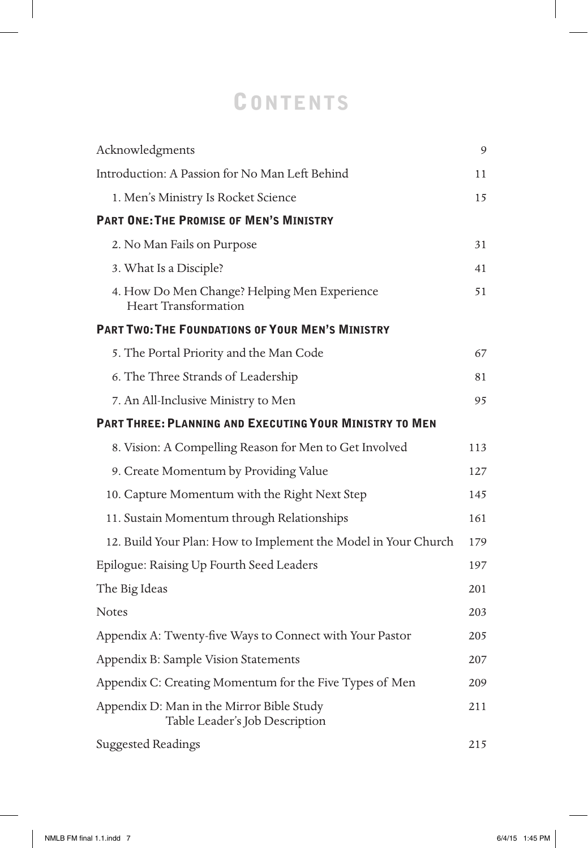## **CONTENTS**

| Acknowledgments                                                             | 9   |
|-----------------------------------------------------------------------------|-----|
| Introduction: A Passion for No Man Left Behind                              | 11  |
| 1. Men's Ministry Is Rocket Science                                         | 15  |
| <b>PART ONE: THE PROMISE OF MEN'S MINISTRY</b>                              |     |
| 2. No Man Fails on Purpose                                                  | 31  |
| 3. What Is a Disciple?                                                      | 41  |
| 4. How Do Men Change? Helping Men Experience<br><b>Heart Transformation</b> | 51  |
| <b>PART TWO: THE FOUNDATIONS OF YOUR MEN'S MINISTRY</b>                     |     |
| 5. The Portal Priority and the Man Code                                     | 67  |
| 6. The Three Strands of Leadership                                          | 81  |
| 7. An All-Inclusive Ministry to Men                                         | 95  |
| <b>PART THREE: PLANNING AND EXECUTING YOUR MINISTRY TO MEN</b>              |     |
| 8. Vision: A Compelling Reason for Men to Get Involved                      | 113 |
| 9. Create Momentum by Providing Value                                       | 127 |
| 10. Capture Momentum with the Right Next Step                               | 145 |
| 11. Sustain Momentum through Relationships                                  | 161 |
| 12. Build Your Plan: How to Implement the Model in Your Church              | 179 |
| Epilogue: Raising Up Fourth Seed Leaders                                    | 197 |
| The Big Ideas                                                               | 201 |
| <b>Notes</b>                                                                | 203 |
| Appendix A: Twenty-five Ways to Connect with Your Pastor                    | 205 |
| Appendix B: Sample Vision Statements                                        | 207 |
| Appendix C: Creating Momentum for the Five Types of Men                     | 209 |
| Appendix D: Man in the Mirror Bible Study<br>Table Leader's Job Description | 211 |
| <b>Suggested Readings</b>                                                   | 215 |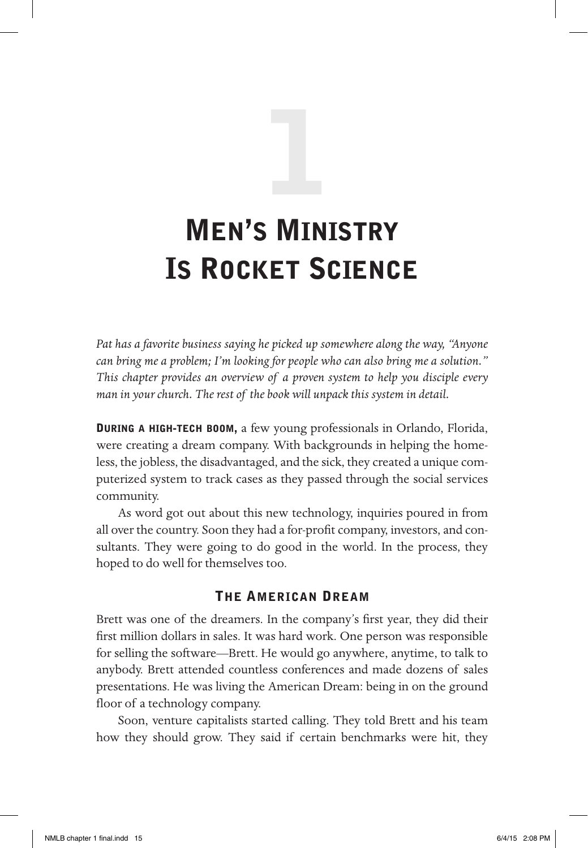# Men's Ministry Is Rocket Science 1

*Pat has a favorite business saying he picked up somewhere along the way, "Anyone can bring me a problem; I'm looking for people who can also bring me a solution." This chapter provides an overview of a proven system to help you disciple every man in your church. The rest of the book will unpack this system in detail.*

During a high-tech boom, a few young professionals in Orlando, Florida, were creating a dream company. With backgrounds in helping the homeless, the jobless, the disadvantaged, and the sick, they created a unique computerized system to track cases as they passed through the social services community.

As word got out about this new technology, inquiries poured in from all over the country. Soon they had a for-profit company, investors, and consultants. They were going to do good in the world. In the process, they hoped to do well for themselves too.

#### The American Dream

Brett was one of the dreamers. In the company's first year, they did their first million dollars in sales. It was hard work. One person was responsible for selling the software—Brett. He would go anywhere, anytime, to talk to anybody. Brett attended countless conferences and made dozens of sales presentations. He was living the American Dream: being in on the ground floor of a technology company.

Soon, venture capitalists started calling. They told Brett and his team how they should grow. They said if certain benchmarks were hit, they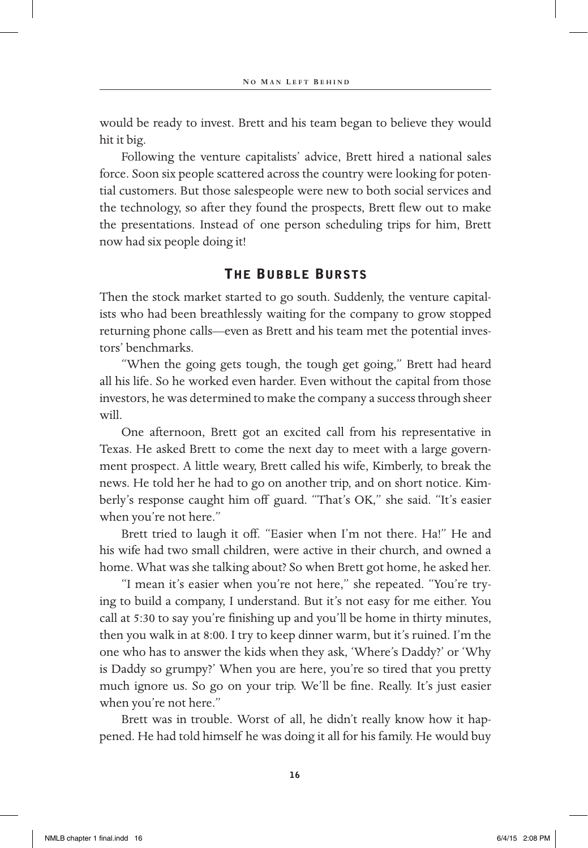would be ready to invest. Brett and his team began to believe they would hit it big.

Following the venture capitalists' advice, Brett hired a national sales force. Soon six people scattered across the country were looking for potential customers. But those salespeople were new to both social services and the technology, so after they found the prospects, Brett flew out to make the presentations. Instead of one person scheduling trips for him, Brett now had six people doing it!

#### The Bubble Bursts

Then the stock market started to go south. Suddenly, the venture capitalists who had been breathlessly waiting for the company to grow stopped returning phone calls—even as Brett and his team met the potential investors' benchmarks.

"When the going gets tough, the tough get going," Brett had heard all his life. So he worked even harder. Even without the capital from those investors, he was determined to make the company a success through sheer will.

One afternoon, Brett got an excited call from his representative in Texas. He asked Brett to come the next day to meet with a large government prospect. A little weary, Brett called his wife, Kimberly, to break the news. He told her he had to go on another trip, and on short notice. Kimberly's response caught him off guard. "That's OK," she said. "It's easier when you're not here."

Brett tried to laugh it off. "Easier when I'm not there. Ha!" He and his wife had two small children, were active in their church, and owned a home. What was she talking about? So when Brett got home, he asked her.

"I mean it's easier when you're not here," she repeated. "You're trying to build a company, I understand. But it's not easy for me either. You call at 5:30 to say you're finishing up and you'll be home in thirty minutes, then you walk in at 8:00. I try to keep dinner warm, but it's ruined. I'm the one who has to answer the kids when they ask, 'Where's Daddy?' or 'Why is Daddy so grumpy?' When you are here, you're so tired that you pretty much ignore us. So go on your trip. We'll be fine. Really. It's just easier when you're not here."

Brett was in trouble. Worst of all, he didn't really know how it happened. He had told himself he was doing it all for his family. He would buy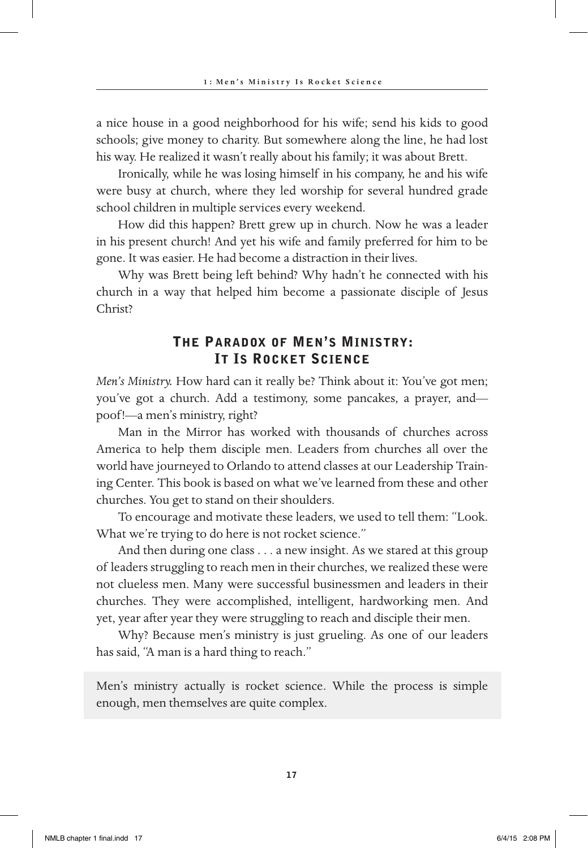a nice house in a good neighborhood for his wife; send his kids to good schools; give money to charity. But somewhere along the line, he had lost his way. He realized it wasn't really about his family; it was about Brett.

Ironically, while he was losing himself in his company, he and his wife were busy at church, where they led worship for several hundred grade school children in multiple services every weekend.

How did this happen? Brett grew up in church. Now he was a leader in his present church! And yet his wife and family preferred for him to be gone. It was easier. He had become a distraction in their lives.

Why was Brett being left behind? Why hadn't he connected with his church in a way that helped him become a passionate disciple of Jesus Christ?

#### The Paradox of Men's Ministry: It Is Rocket Science

*Men's Ministry.* How hard can it really be? Think about it: You've got men; you've got a church. Add a testimony, some pancakes, a prayer, and poof!—a men's ministry, right?

Man in the Mirror has worked with thousands of churches across America to help them disciple men. Leaders from churches all over the world have journeyed to Orlando to attend classes at our Leadership Training Center. This book is based on what we've learned from these and other churches. You get to stand on their shoulders.

To encourage and motivate these leaders, we used to tell them: "Look. What we're trying to do here is not rocket science."

And then during one class . . . a new insight. As we stared at this group of leaders struggling to reach men in their churches, we realized these were not clueless men. Many were successful businessmen and leaders in their churches. They were accomplished, intelligent, hardworking men. And yet, year after year they were struggling to reach and disciple their men.

Why? Because men's ministry is just grueling. As one of our leaders has said, "A man is a hard thing to reach."

Men's ministry actually is rocket science. While the process is simple enough, men themselves are quite complex.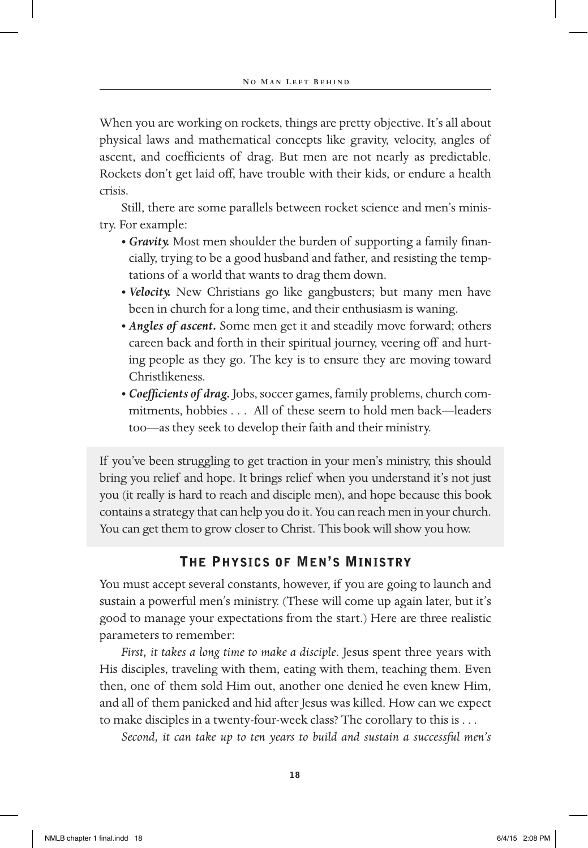When you are working on rockets, things are pretty objective. It's all about physical laws and mathematical concepts like gravity, velocity, angles of ascent, and coefficients of drag. But men are not nearly as predictable. Rockets don't get laid off, have trouble with their kids, or endure a health crisis.

Still, there are some parallels between rocket science and men's ministry. For example:

- *Gravity.* Most men shoulder the burden of supporting a family financially, trying to be a good husband and father, and resisting the temptations of a world that wants to drag them down.
- *Velocity.* New Christians go like gangbusters; but many men have been in church for a long time, and their enthusiasm is waning.
- *Angles of ascent.* Some men get it and steadily move forward; others careen back and forth in their spiritual journey, veering off and hurting people as they go. The key is to ensure they are moving toward Christlikeness.
- *Coefficients of drag.* Jobs, soccer games, family problems, church commitments, hobbies . . . All of these seem to hold men back—leaders too—as they seek to develop their faith and their ministry.

If you've been struggling to get traction in your men's ministry, this should bring you relief and hope. It brings relief when you understand it's not just you (it really is hard to reach and disciple men), and hope because this book contains a strategy that can help you do it. You can reach men in your church. You can get them to grow closer to Christ. This book will show you how.

#### The Physics of Men's Ministry

You must accept several constants, however, if you are going to launch and sustain a powerful men's ministry. (These will come up again later, but it's good to manage your expectations from the start.) Here are three realistic parameters to remember:

*First, it takes a long time to make a disciple*. Jesus spent three years with His disciples, traveling with them, eating with them, teaching them. Even then, one of them sold Him out, another one denied he even knew Him, and all of them panicked and hid after Jesus was killed. How can we expect to make disciples in a twenty-four-week class? The corollary to this is . . .

*Second, it can take up to ten years to build and sustain a successful men's*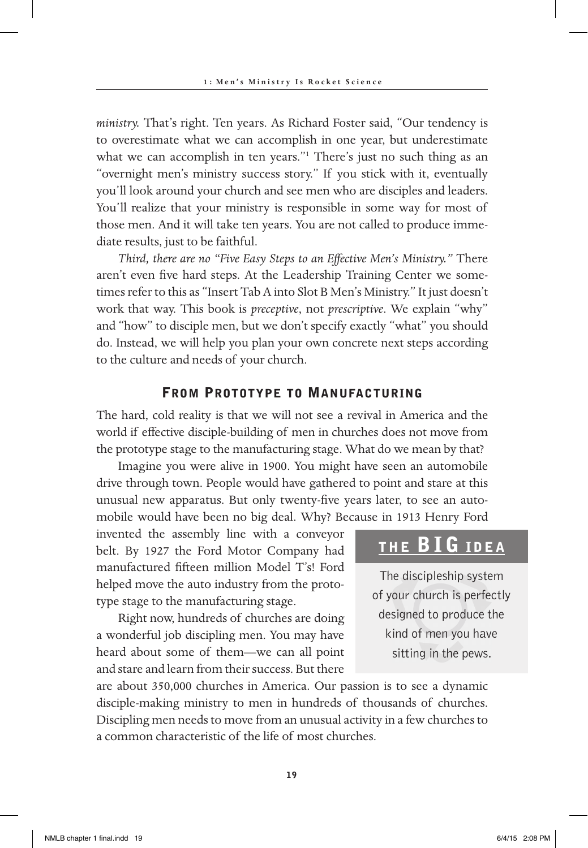*ministry.* That's right. Ten years. As Richard Foster said, "Our tendency is to overestimate what we can accomplish in one year, but underestimate what we can accomplish in ten years."<sup>1</sup> There's just no such thing as an "overnight men's ministry success story." If you stick with it, eventually you'll look around your church and see men who are disciples and leaders. You'll realize that your ministry is responsible in some way for most of those men. And it will take ten years. You are not called to produce immediate results, just to be faithful.

*Third, there are no "Five Easy Steps to an Effective Men's Ministry."* There aren't even five hard steps. At the Leadership Training Center we sometimes refer to this as "Insert Tab A into Slot B Men's Ministry." It just doesn't work that way. This book is *preceptive*, not *prescriptive*. We explain "why" and "how" to disciple men, but we don't specify exactly "what" you should do. Instead, we will help you plan your own concrete next steps according to the culture and needs of your church.

#### FROM PROTOTYPE TO MANUFACTURING

The hard, cold reality is that we will not see a revival in America and the world if effective disciple-building of men in churches does not move from the prototype stage to the manufacturing stage. What do we mean by that?

Imagine you were alive in 1900. You might have seen an automobile drive through town. People would have gathered to point and stare at this unusual new apparatus. But only twenty-five years later, to see an automobile would have been no big deal. Why? Because in 1913 Henry Ford

invented the assembly line with a conveyor belt. By 1927 the Ford Motor Company had manufactured fifteen million Model T's! Ford helped move the auto industry from the prototype stage to the manufacturing stage.

Right now, hundreds of churches are doing a wonderful job discipling men. You may have heard about some of them—we can all point and stare and learn from their success. But there

### THE **BIG** IDEA

The discipleship system of your church is perfectly designed to produce the kind of men you have sitting in the pews.

are about 350,000 churches in America. Our passion is to see a dynamic disciple-making ministry to men in hundreds of thousands of churches. Discipling men needs to move from an unusual activity in a few churches to a common characteristic of the life of most churches.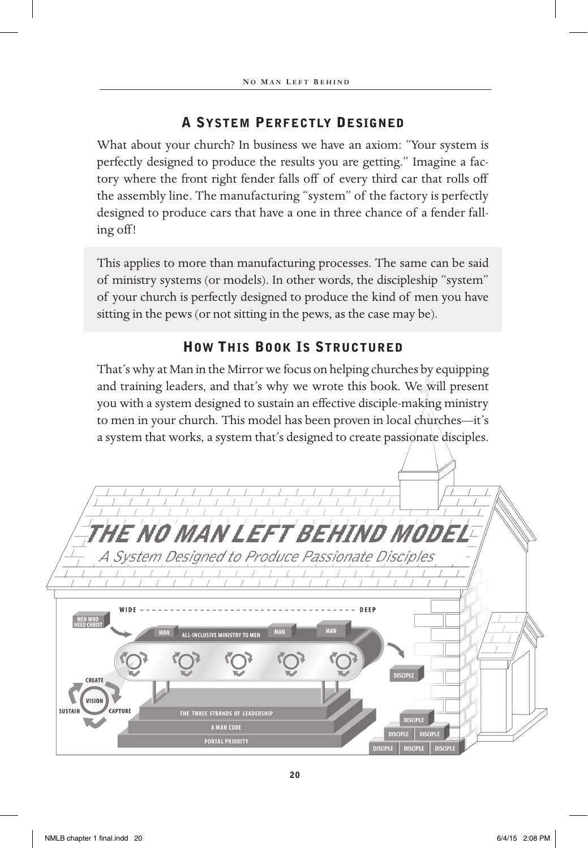#### a system Perfectly DesigneD

What about your church? In business we have an axiom: "Your system is perfectly designed to produce the results you are getting." Imagine a factory where the front right fender falls off of every third car that rolls off the assembly line. The manufacturing "system" of the factory is perfectly designed to produce cars that have a one in three chance of a fender falling off!

This applies to more than manufacturing processes. The same can be said of ministry systems (or models). In other words, the discipleship "system" of your church is perfectly designed to produce the kind of men you have sitting in the pews (or not sitting in the pews, as the case may be).

#### **HOW THIS BOOK IS STRUCTURED**

That's why at Man in the Mirror we focus on helping churches by equipping and training leaders, and that's why we wrote this book. We will present you with a system designed to sustain an effective disciple-making ministry to men in your church. This model has been proven in local churches—it's a system that works, a system that's designed to create passionate disciples.

| THE NO MAN LEFT BEHIND MODEL-                                                                                    |
|------------------------------------------------------------------------------------------------------------------|
| A System Designed to Produce Passionate Disciples                                                                |
|                                                                                                                  |
| WIDE<br>DEEP<br><b>MEN WHO</b><br>NEED CHRIS<br>MAN<br><b>MAN</b><br><b>MAN</b><br>ALL-INCLUSIVE MINISTRY TO MEN |
| <b>DISCIPLE</b><br><b>CREATE</b>                                                                                 |
| <b>VISION</b><br>CAPTURE<br><b>SUSTAIN</b>                                                                       |
| THE THREE STRANDS OF LEADERSHIP<br><b>DISCIPLE</b><br><b>A MAN CODE</b>                                          |
| <b>DISCIPLE</b><br><b>DISCIPLE</b><br><b>PORTAL PRIORITY</b><br>DISCIPLE DISCIPLE<br><b>DISCIPLE</b>             |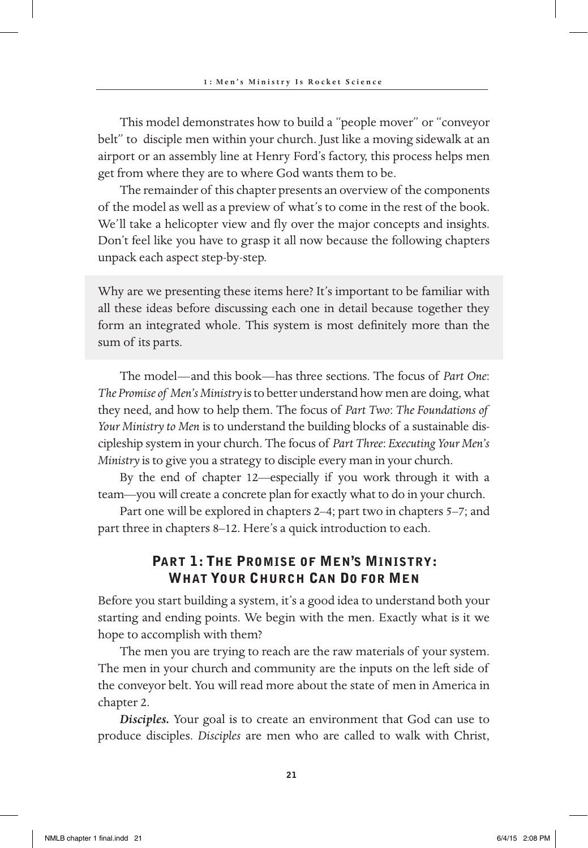This model demonstrates how to build a "people mover" or "conveyor belt" to disciple men within your church. Just like a moving sidewalk at an airport or an assembly line at Henry Ford's factory, this process helps men get from where they are to where God wants them to be.

The remainder of this chapter presents an overview of the components of the model as well as a preview of what's to come in the rest of the book. We'll take a helicopter view and fly over the major concepts and insights. Don't feel like you have to grasp it all now because the following chapters unpack each aspect step-by-step.

Why are we presenting these items here? It's important to be familiar with all these ideas before discussing each one in detail because together they form an integrated whole. This system is most definitely more than the sum of its parts.

The model—and this book—has three sections. The focus of *Part One*: *The Promise of Men's Ministry* is to better understand how men are doing, what they need, and how to help them. The focus of *Part Two*: *The Foundations of Your Ministry to Men* is to understand the building blocks of a sustainable discipleship system in your church. The focus of *Part Three*: *Executing Your Men's Ministry* is to give you a strategy to disciple every man in your church.

By the end of chapter 12—especially if you work through it with a team—you will create a concrete plan for exactly what to do in your church.

Part one will be explored in chapters 2–4; part two in chapters 5–7; and part three in chapters 8–12. Here's a quick introduction to each.

#### Part 1: The Promise of Men's Ministry: What Your Church Can Do for Men

Before you start building a system, it's a good idea to understand both your starting and ending points. We begin with the men. Exactly what is it we hope to accomplish with them?

The men you are trying to reach are the raw materials of your system. The men in your church and community are the inputs on the left side of the conveyor belt. You will read more about the state of men in America in chapter 2.

*Disciples.* Your goal is to create an environment that God can use to produce disciples. *Disciples* are men who are called to walk with Christ,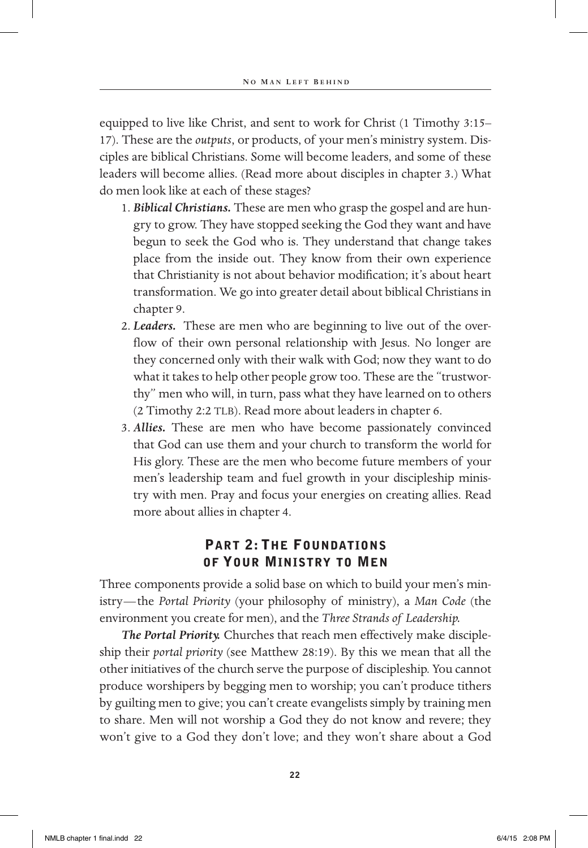equipped to live like Christ, and sent to work for Christ (1 Timothy 3:15– 17). These are the *outputs*, or products, of your men's ministry system. Disciples are biblical Christians. Some will become leaders, and some of these leaders will become allies. (Read more about disciples in chapter 3.) What do men look like at each of these stages?

- 1. *Biblical Christians.* These are men who grasp the gospel and are hungry to grow. They have stopped seeking the God they want and have begun to seek the God who is. They understand that change takes place from the inside out. They know from their own experience that Christianity is not about behavior modification; it's about heart transformation. We go into greater detail about biblical Christians in chapter 9.
- 2. *Leaders.* These are men who are beginning to live out of the overflow of their own personal relationship with Jesus. No longer are they concerned only with their walk with God; now they want to do what it takes to help other people grow too. These are the "trustworthy" men who will, in turn, pass what they have learned on to others (2 Timothy 2:2 TLB). Read more about leaders in chapter 6.
- 3. *Allies.* These are men who have become passionately convinced that God can use them and your church to transform the world for His glory. These are the men who become future members of your men's leadership team and fuel growth in your discipleship ministry with men. Pray and focus your energies on creating allies. Read more about allies in chapter 4.

#### Part 2: The Foundations of Your Ministry to Men

Three components provide a solid base on which to build your men's ministry—the *Portal Priority* (your philosophy of ministry), a *Man Code* (the environment you create for men), and the *Three Strands of Leadership.*

*The Portal Priority.* Churches that reach men effectively make discipleship their *portal priority* (see Matthew 28:19). By this we mean that all the other initiatives of the church serve the purpose of discipleship. You cannot produce worshipers by begging men to worship; you can't produce tithers by guilting men to give; you can't create evangelists simply by training men to share. Men will not worship a God they do not know and revere; they won't give to a God they don't love; and they won't share about a God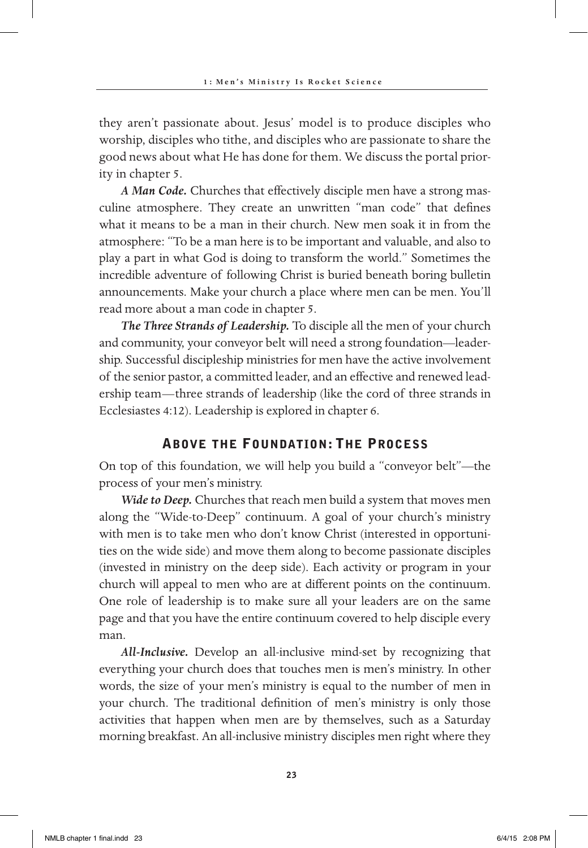they aren't passionate about. Jesus' model is to produce disciples who worship, disciples who tithe, and disciples who are passionate to share the good news about what He has done for them. We discuss the portal priority in chapter 5.

*A Man Code.* Churches that effectively disciple men have a strong masculine atmosphere. They create an unwritten "man code" that defines what it means to be a man in their church. New men soak it in from the atmosphere: "To be a man here is to be important and valuable, and also to play a part in what God is doing to transform the world." Sometimes the incredible adventure of following Christ is buried beneath boring bulletin announcements. Make your church a place where men can be men. You'll read more about a man code in chapter 5.

*The Three Strands of Leadership.* To disciple all the men of your church and community, your conveyor belt will need a strong foundation—leadership. Successful discipleship ministries for men have the active involvement of the senior pastor, a committed leader, and an effective and renewed leadership team—three strands of leadership (like the cord of three strands in Ecclesiastes 4:12). Leadership is explored in chapter 6.

#### Above the Foundation: The Process

On top of this foundation, we will help you build a "conveyor belt"—the process of your men's ministry.

*Wide to Deep.* Churches that reach men build a system that moves men along the "Wide-to-Deep" continuum. A goal of your church's ministry with men is to take men who don't know Christ (interested in opportunities on the wide side) and move them along to become passionate disciples (invested in ministry on the deep side). Each activity or program in your church will appeal to men who are at different points on the continuum. One role of leadership is to make sure all your leaders are on the same page and that you have the entire continuum covered to help disciple every man.

*All-Inclusive.* Develop an all-inclusive mind-set by recognizing that everything your church does that touches men is men's ministry. In other words, the size of your men's ministry is equal to the number of men in your church. The traditional definition of men's ministry is only those activities that happen when men are by themselves, such as a Saturday morning breakfast. An all-inclusive ministry disciples men right where they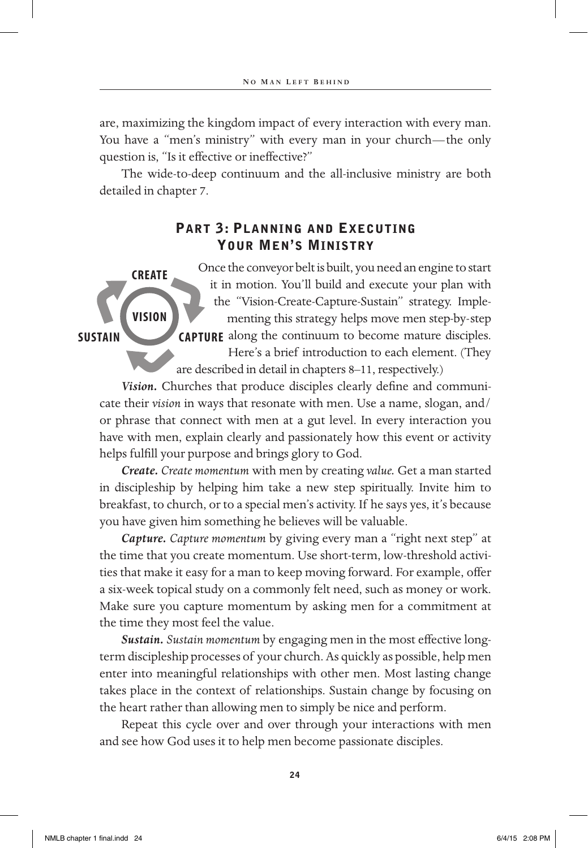are, maximizing the kingdom impact of every interaction with every man. You have a "men's ministry" with every man in your church—the only question is, "Is it effective or ineffective?"

The wide-to-deep continuum and the all-inclusive ministry are both detailed in chapter 7.

#### Part 3: Planning and Executing Your Men's Ministry

Once the conveyor belt is built, you need an engine to start it in motion. You'll build and execute your plan with the "Vision-Create-Capture-Sustain" strategy. Implementing this strategy helps move men step-by-step **CAPTURE** along the continuum to become mature disciples. Here's a brief introduction to each element. (They are described in detail in chapters 8–11, respectively.) **VISION CREATE**

*Vision.* Churches that produce disciples clearly define and communicate their *vision* in ways that resonate with men. Use a name, slogan, and/ or phrase that connect with men at a gut level. In every interaction you have with men, explain clearly and passionately how this event or activity helps fulfill your purpose and brings glory to God.

*Create. Create momentum* with men by creating *value.* Get a man started in discipleship by helping him take a new step spiritually. Invite him to breakfast, to church, or to a special men's activity. If he says yes, it's because you have given him something he believes will be valuable.

*Capture. Capture momentum* by giving every man a "right next step" at the time that you create momentum. Use short-term, low-threshold activities that make it easy for a man to keep moving forward. For example, offer a six-week topical study on a commonly felt need, such as money or work. Make sure you capture momentum by asking men for a commitment at the time they most feel the value.

*Sustain. Sustain momentum* by engaging men in the most effective longterm discipleship processes of your church. As quickly as possible, help men enter into meaningful relationships with other men. Most lasting change takes place in the context of relationships. Sustain change by focusing on the heart rather than allowing men to simply be nice and perform.

Repeat this cycle over and over through your interactions with men and see how God uses it to help men become passionate disciples.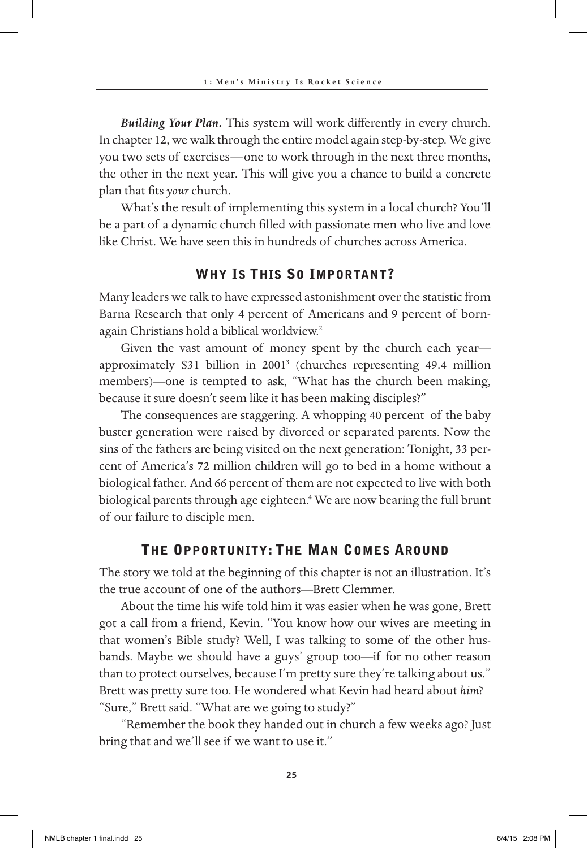*Building Your Plan.* This system will work differently in every church. In chapter 12, we walk through the entire model again step-by-step. We give you two sets of exercises—one to work through in the next three months, the other in the next year. This will give you a chance to build a concrete plan that fits *your* church.

What's the result of implementing this system in a local church? You'll be a part of a dynamic church filled with passionate men who live and love like Christ. We have seen this in hundreds of churches across America.

#### Why Is This So Important?

Many leaders we talk to have expressed astonishment over the statistic from Barna Research that only 4 percent of Americans and 9 percent of bornagain Christians hold a biblical worldview.2

Given the vast amount of money spent by the church each year approximately \$31 billion in 2001<sup>3</sup> (churches representing 49.4 million members)—one is tempted to ask, "What has the church been making, because it sure doesn't seem like it has been making disciples?"

The consequences are staggering. A whopping 40 percent of the baby buster generation were raised by divorced or separated parents. Now the sins of the fathers are being visited on the next generation: Tonight, 33 percent of America's 72 million children will go to bed in a home without a biological father. And 66 percent of them are not expected to live with both biological parents through age eighteen.4 We are now bearing the full brunt of our failure to disciple men.

#### The Opportunity: The Man Comes Around

The story we told at the beginning of this chapter is not an illustration. It's the true account of one of the authors—Brett Clemmer.

About the time his wife told him it was easier when he was gone, Brett got a call from a friend, Kevin. "You know how our wives are meeting in that women's Bible study? Well, I was talking to some of the other husbands. Maybe we should have a guys' group too—if for no other reason than to protect ourselves, because I'm pretty sure they're talking about us." Brett was pretty sure too. He wondered what Kevin had heard about *him*? "Sure," Brett said. "What are we going to study?"

"Remember the book they handed out in church a few weeks ago? Just bring that and we'll see if we want to use it."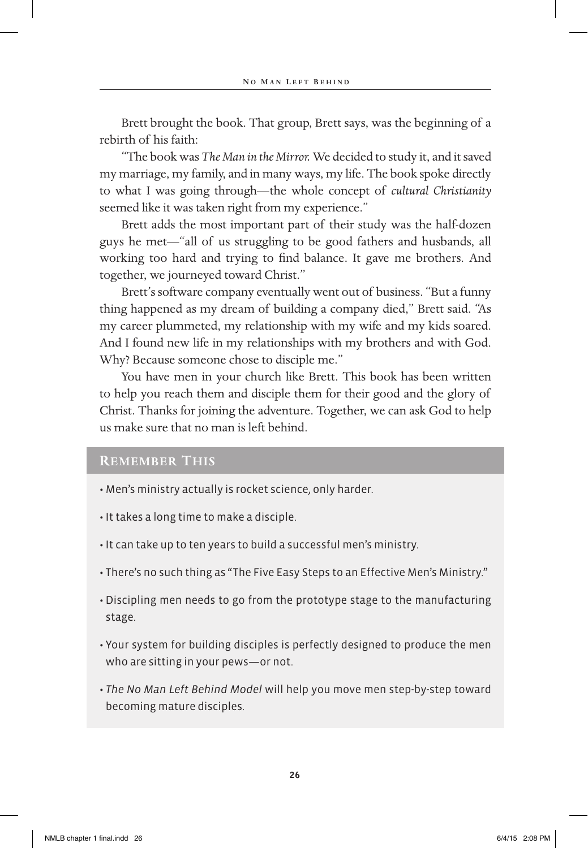Brett brought the book. That group, Brett says, was the beginning of a rebirth of his faith:

"The book was *The Man in the Mirror.* We decided to study it, and it saved my marriage, my family, and in many ways, my life. The book spoke directly to what I was going through—the whole concept of *cultural Christianity* seemed like it was taken right from my experience."

Brett adds the most important part of their study was the half-dozen guys he met—"all of us struggling to be good fathers and husbands, all working too hard and trying to find balance. It gave me brothers. And together, we journeyed toward Christ."

Brett's software company eventually went out of business. "But a funny thing happened as my dream of building a company died," Brett said. "As my career plummeted, my relationship with my wife and my kids soared. And I found new life in my relationships with my brothers and with God. Why? Because someone chose to disciple me."

You have men in your church like Brett. This book has been written to help you reach them and disciple them for their good and the glory of Christ. Thanks for joining the adventure. Together, we can ask God to help us make sure that no man is left behind.

#### **Remember This**

- Men's ministry actually is rocket science, only harder.
- It takes a long time to make a disciple.
- It can take up to ten years to build a successful men's ministry.
- There's no such thing as "The Five Easy Steps to an Effective Men's Ministry."
- Discipling men needs to go from the prototype stage to the manufacturing stage.
- Your system for building disciples is perfectly designed to produce the men who are sitting in your pews—or not.
- *The No Man Left Behind Model* will help you move men step-by-step toward becoming mature disciples.